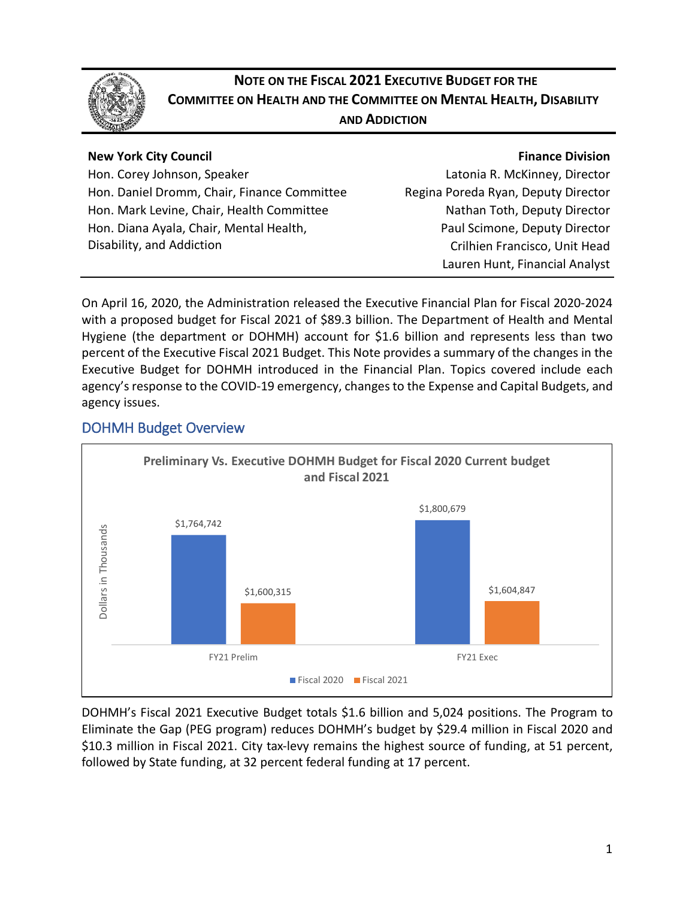

## **NOTE ON THE FISCAL 2021 EXECUTIVE BUDGET FOR THE COMMITTEE ON HEALTH AND THE COMMITTEE ON MENTAL HEALTH, DISABILITY AND ADDICTION**

#### **New York City Council**

Hon. Corey Johnson, Speaker Hon. Daniel Dromm, Chair, Finance Committee Hon. Mark Levine, Chair, Health Committee Hon. Diana Ayala, Chair, Mental Health, Disability, and Addiction

#### **Finance Division**

Latonia R. McKinney, Director Regina Poreda Ryan, Deputy Director Nathan Toth, Deputy Director Paul Scimone, Deputy Director Crilhien Francisco, Unit Head Lauren Hunt, Financial Analyst

On April 16, 2020, the Administration released the Executive Financial Plan for Fiscal 2020-2024 with a proposed budget for Fiscal 2021 of \$89.3 billion. The Department of Health and Mental Hygiene (the department or DOHMH) account for \$1.6 billion and represents less than two percent of the Executive Fiscal 2021 Budget. This Note provides a summary of the changes in the Executive Budget for DOHMH introduced in the Financial Plan. Topics covered include each agency's response to the COVID-19 emergency, changes to the Expense and Capital Budgets, and agency issues.



### DOHMH Budget Overview

DOHMH's Fiscal 2021 Executive Budget totals \$1.6 billion and 5,024 positions. The Program to Eliminate the Gap (PEG program) reduces DOHMH's budget by \$29.4 million in Fiscal 2020 and \$10.3 million in Fiscal 2021. City tax-levy remains the highest source of funding, at 51 percent, followed by State funding, at 32 percent federal funding at 17 percent.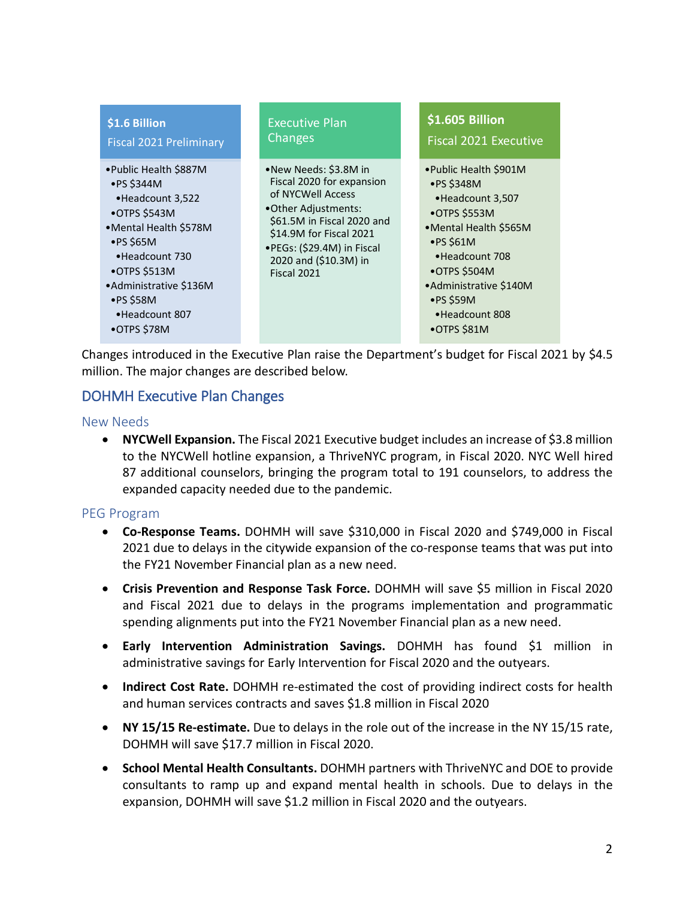

Changes introduced in the Executive Plan raise the Department's budget for Fiscal 2021 by \$4.5 million. The major changes are described below.

## DOHMH Executive Plan Changes

#### New Needs

• **NYCWell Expansion.** The Fiscal 2021 Executive budget includes an increase of \$3.8 million to the NYCWell hotline expansion, a ThriveNYC program, in Fiscal 2020. NYC Well hired 87 additional counselors, bringing the program total to 191 counselors, to address the expanded capacity needed due to the pandemic.

#### PEG Program

- **Co-Response Teams.** DOHMH will save \$310,000 in Fiscal 2020 and \$749,000 in Fiscal 2021 due to delays in the citywide expansion of the co-response teams that was put into the FY21 November Financial plan as a new need.
- **Crisis Prevention and Response Task Force.** DOHMH will save \$5 million in Fiscal 2020 and Fiscal 2021 due to delays in the programs implementation and programmatic spending alignments put into the FY21 November Financial plan as a new need.
- **Early Intervention Administration Savings.** DOHMH has found \$1 million in administrative savings for Early Intervention for Fiscal 2020 and the outyears.
- **Indirect Cost Rate.** DOHMH re-estimated the cost of providing indirect costs for health and human services contracts and saves \$1.8 million in Fiscal 2020
- **NY 15/15 Re-estimate.** Due to delays in the role out of the increase in the NY 15/15 rate, DOHMH will save \$17.7 million in Fiscal 2020.
- **School Mental Health Consultants.** DOHMH partners with ThriveNYC and DOE to provide consultants to ramp up and expand mental health in schools. Due to delays in the expansion, DOHMH will save \$1.2 million in Fiscal 2020 and the outyears.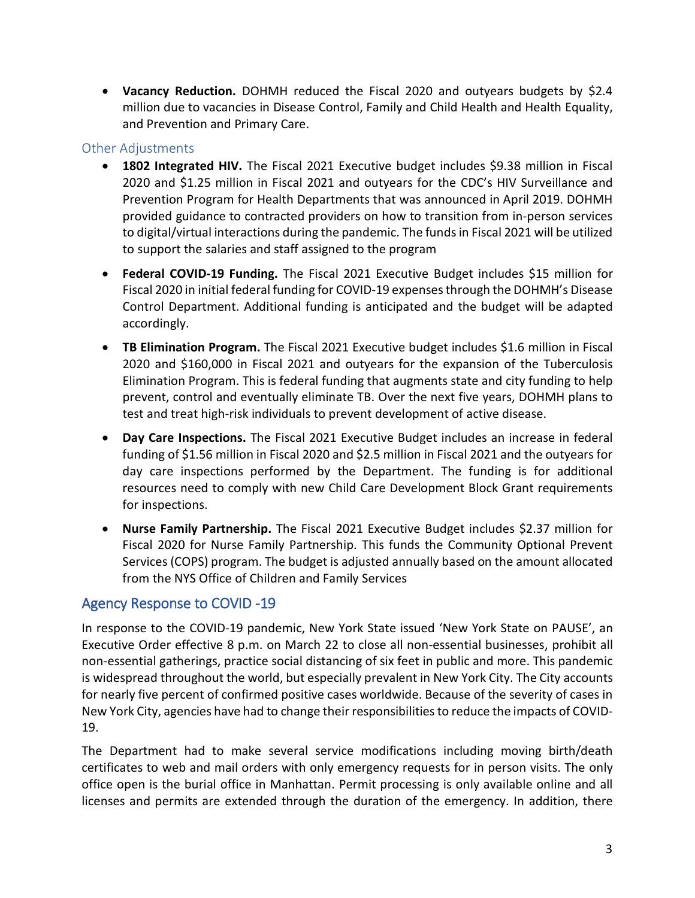• **Vacancy Reduction.** DOHMH reduced the Fiscal 2020 and outyears budgets by \$2.4 million due to vacancies in Disease Control, Family and Child Health and Health Equality, and Prevention and Primary Care.

#### Other Adjustments

- **1802 Integrated HIV.** The Fiscal 2021 Executive budget includes \$9.38 million in Fiscal 2020 and \$1.25 million in Fiscal 2021 and outyears for the CDC's HIV Surveillance and Prevention Program for Health Departments that was announced in April 2019. DOHMH provided guidance to contracted providers on how to transition from in-person services to digital/virtual interactions during the pandemic. The funds in Fiscal 2021 will be utilized to support the salaries and staff assigned to the program
- **Federal COVID-19 Funding.** The Fiscal 2021 Executive Budget includes \$15 million for Fiscal 2020 in initial federal funding for COVID-19 expenses through the DOHMH's Disease Control Department. Additional funding is anticipated and the budget will be adapted accordingly.
- **TB Elimination Program.** The Fiscal 2021 Executive budget includes \$1.6 million in Fiscal 2020 and \$160,000 in Fiscal 2021 and outyears for the expansion of the Tuberculosis Elimination Program. This is federal funding that augments state and city funding to help prevent, control and eventually eliminate TB. Over the next five years, DOHMH plans to test and treat high-risk individuals to prevent development of active disease.
- **Day Care Inspections.** The Fiscal 2021 Executive Budget includes an increase in federal funding of \$1.56 million in Fiscal 2020 and \$2.5 million in Fiscal 2021 and the outyears for day care inspections performed by the Department. The funding is for additional resources need to comply with new Child Care Development Block Grant requirements for inspections.
- **Nurse Family Partnership.** The Fiscal 2021 Executive Budget includes \$2.37 million for Fiscal 2020 for Nurse Family Partnership. This funds the Community Optional Prevent Services (COPS) program. The budget is adjusted annually based on the amount allocated from the NYS Office of Children and Family Services

## Agency Response to COVID -19

In response to the COVID-19 pandemic, New York State issued 'New York State on PAUSE', an Executive Order effective 8 p.m. on March 22 to close all non-essential businesses, prohibit all non-essential gatherings, practice social distancing of six feet in public and more. This pandemic is widespread throughout the world, but especially prevalent in New York City. The City accounts for nearly five percent of confirmed positive cases worldwide. Because of the severity of cases in New York City, agencies have had to change their responsibilities to reduce the impacts of COVID-19.

The Department had to make several service modifications including moving birth/death certificates to web and mail orders with only emergency requests for in person visits. The only office open is the burial office in Manhattan. Permit processing is only available online and all licenses and permits are extended through the duration of the emergency. In addition, there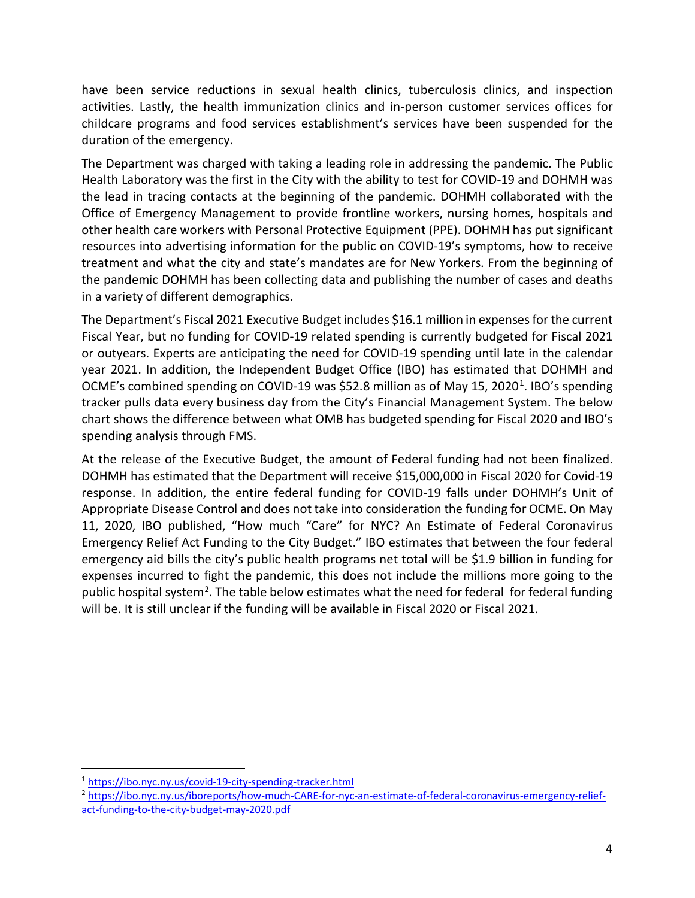have been service reductions in sexual health clinics, tuberculosis clinics, and inspection activities. Lastly, the health immunization clinics and in-person customer services offices for childcare programs and food services establishment's services have been suspended for the duration of the emergency.

The Department was charged with taking a leading role in addressing the pandemic. The Public Health Laboratory was the first in the City with the ability to test for COVID-19 and DOHMH was the lead in tracing contacts at the beginning of the pandemic. DOHMH collaborated with the Office of Emergency Management to provide frontline workers, nursing homes, hospitals and other health care workers with Personal Protective Equipment (PPE). DOHMH has put significant resources into advertising information for the public on COVID-19's symptoms, how to receive treatment and what the city and state's mandates are for New Yorkers. From the beginning of the pandemic DOHMH has been collecting data and publishing the number of cases and deaths in a variety of different demographics.

The Department's Fiscal 2021 Executive Budget includes \$16.1 million in expenses for the current Fiscal Year, but no funding for COVID-19 related spending is currently budgeted for Fiscal 2021 or outyears. Experts are anticipating the need for COVID-19 spending until late in the calendar year 2021. In addition, the Independent Budget Office (IBO) has estimated that DOHMH and OCME's combined spending on COVID-19 was \$52.8 million as of May 15, 2020<sup>1</sup>. IBO's spending tracker pulls data every business day from the City's Financial Management System. The below chart shows the difference between what OMB has budgeted spending for Fiscal 2020 and IBO's spending analysis through FMS.

At the release of the Executive Budget, the amount of Federal funding had not been finalized. DOHMH has estimated that the Department will receive \$15,000,000 in Fiscal 2020 for Covid-19 response. In addition, the entire federal funding for COVID-19 falls under DOHMH's Unit of Appropriate Disease Control and does not take into consideration the funding for OCME. On May 11, 2020, IBO published, "How much "Care" for NYC? An Estimate of Federal Coronavirus Emergency Relief Act Funding to the City Budget." IBO estimates that between the four federal emergency aid bills the city's public health programs net total will be \$1.9 billion in funding for expenses incurred to fight the pandemic, this does not include the millions more going to the public hospital system<sup>[2](#page-3-1)</sup>. The table below estimates what the need for federal for federal funding will be. It is still unclear if the funding will be available in Fiscal 2020 or Fiscal 2021.

<span id="page-3-0"></span> <sup>1</sup> <https://ibo.nyc.ny.us/covid-19-city-spending-tracker.html>

<span id="page-3-1"></span><sup>&</sup>lt;sup>2</sup> [https://ibo.nyc.ny.us/iboreports/how-much-CARE-for-nyc-an-estimate-of-federal-coronavirus-emergency-relief](https://ibo.nyc.ny.us/iboreports/how-much-CARE-for-nyc-an-estimate-of-federal-coronavirus-emergency-relief-act-funding-to-the-city-budget-may-2020.pdf)[act-funding-to-the-city-budget-may-2020.pdf](https://ibo.nyc.ny.us/iboreports/how-much-CARE-for-nyc-an-estimate-of-federal-coronavirus-emergency-relief-act-funding-to-the-city-budget-may-2020.pdf)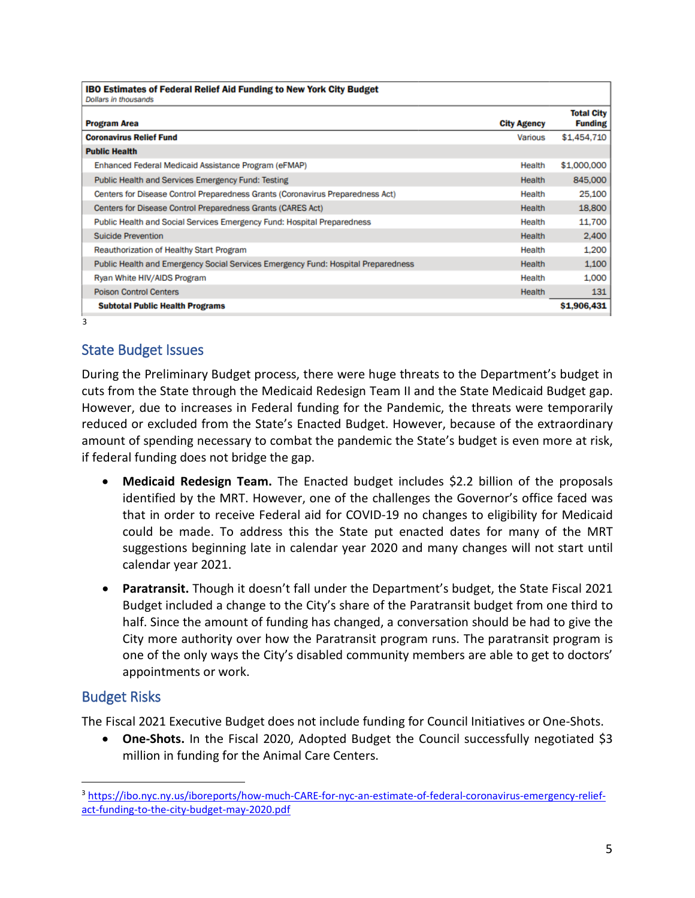| Dollars in thousands                                                              |                    |                                     |
|-----------------------------------------------------------------------------------|--------------------|-------------------------------------|
| <b>Program Area</b>                                                               | <b>City Agency</b> | <b>Total City</b><br><b>Funding</b> |
| <b>Coronavirus Relief Fund</b>                                                    | Various            | \$1,454,710                         |
| <b>Public Health</b>                                                              |                    |                                     |
| Enhanced Federal Medicaid Assistance Program (eFMAP)                              | Health             | \$1,000,000                         |
| Public Health and Services Emergency Fund: Testing                                | Health             | 845,000                             |
| Centers for Disease Control Preparedness Grants (Coronavirus Preparedness Act)    | Health             | 25,100                              |
| Centers for Disease Control Preparedness Grants (CARES Act)                       | Health             | 18,800                              |
| Public Health and Social Services Emergency Fund: Hospital Preparedness           | Health             | 11,700                              |
| <b>Suicide Prevention</b>                                                         | Health             | 2,400                               |
| Reauthorization of Healthy Start Program                                          | Health             | 1,200                               |
| Public Health and Emergency Social Services Emergency Fund: Hospital Preparedness | Health             | 1,100                               |
| Ryan White HIV/AIDS Program                                                       | Health             | 1,000                               |
| <b>Poison Control Centers</b>                                                     | Health             | 131                                 |
| <b>Subtotal Public Health Programs</b>                                            |                    | \$1,906,431                         |

# State Budget Issues

During the Preliminary Budget process, there were huge threats to the Department's budget in cuts from the State through the Medicaid Redesign Team II and the State Medicaid Budget gap. However, due to increases in Federal funding for the Pandemic, the threats were temporarily reduced or excluded from the State's Enacted Budget. However, because of the extraordinary amount of spending necessary to combat the pandemic the State's budget is even more at risk, if federal funding does not bridge the gap.

- **Medicaid Redesign Team.** The Enacted budget includes \$2.2 billion of the proposals identified by the MRT. However, one of the challenges the Governor's office faced was that in order to receive Federal aid for COVID-19 no changes to eligibility for Medicaid could be made. To address this the State put enacted dates for many of the MRT suggestions beginning late in calendar year 2020 and many changes will not start until calendar year 2021.
- **Paratransit.** Though it doesn't fall under the Department's budget, the State Fiscal 2021 Budget included a change to the City's share of the Paratransit budget from one third to half. Since the amount of funding has changed, a conversation should be had to give the City more authority over how the Paratransit program runs. The paratransit program is one of the only ways the City's disabled community members are able to get to doctors' appointments or work.

## Budget Risks

 $\overline{a}$ 

The Fiscal 2021 Executive Budget does not include funding for Council Initiatives or One-Shots.

• **One-Shots.** In the Fiscal 2020, Adopted Budget the Council successfully negotiated \$3 million in funding for the Animal Care Centers.

<span id="page-4-0"></span><sup>&</sup>lt;sup>3</sup> [https://ibo.nyc.ny.us/iboreports/how-much-CARE-for-nyc-an-estimate-of-federal-coronavirus-emergency-relief](https://ibo.nyc.ny.us/iboreports/how-much-CARE-for-nyc-an-estimate-of-federal-coronavirus-emergency-relief-act-funding-to-the-city-budget-may-2020.pdf)[act-funding-to-the-city-budget-may-2020.pdf](https://ibo.nyc.ny.us/iboreports/how-much-CARE-for-nyc-an-estimate-of-federal-coronavirus-emergency-relief-act-funding-to-the-city-budget-may-2020.pdf)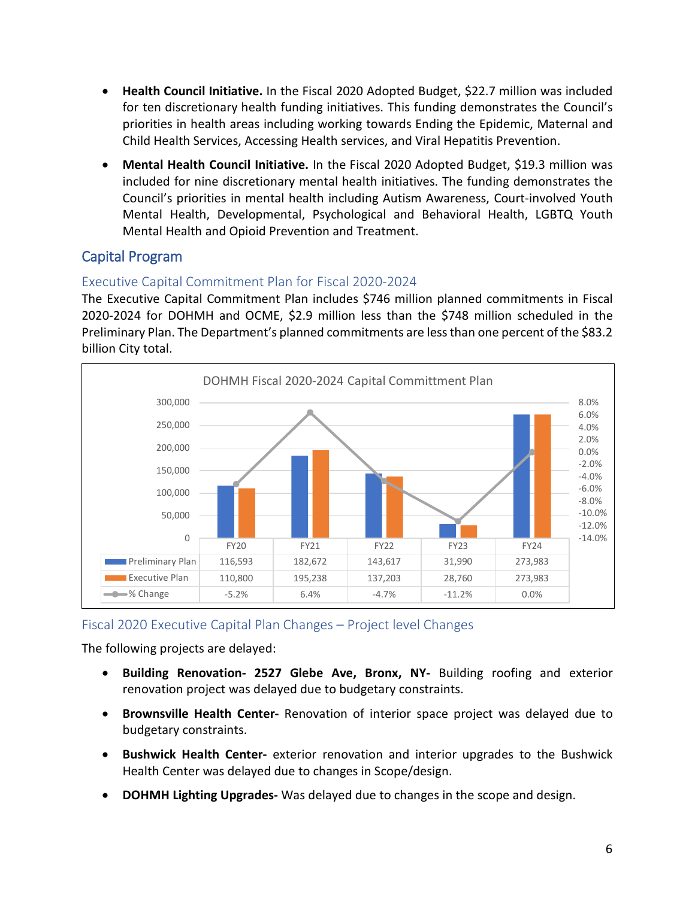- **Health Council Initiative.** In the Fiscal 2020 Adopted Budget, \$22.7 million was included for ten discretionary health funding initiatives. This funding demonstrates the Council's priorities in health areas including working towards Ending the Epidemic, Maternal and Child Health Services, Accessing Health services, and Viral Hepatitis Prevention.
- **Mental Health Council Initiative.** In the Fiscal 2020 Adopted Budget, \$19.3 million was included for nine discretionary mental health initiatives. The funding demonstrates the Council's priorities in mental health including Autism Awareness, Court-involved Youth Mental Health, Developmental, Psychological and Behavioral Health, LGBTQ Youth Mental Health and Opioid Prevention and Treatment.

# Capital Program

#### Executive Capital Commitment Plan for Fiscal 2020-2024

The Executive Capital Commitment Plan includes \$746 million planned commitments in Fiscal 2020-2024 for DOHMH and OCME, \$2.9 million less than the \$748 million scheduled in the Preliminary Plan. The Department's planned commitments are less than one percent of the \$83.2 billion City total.



Fiscal 2020 Executive Capital Plan Changes – Project level Changes

The following projects are delayed:

- **Building Renovation- 2527 Glebe Ave, Bronx, NY-** Building roofing and exterior renovation project was delayed due to budgetary constraints.
- **Brownsville Health Center-** Renovation of interior space project was delayed due to budgetary constraints.
- **Bushwick Health Center-** exterior renovation and interior upgrades to the Bushwick Health Center was delayed due to changes in Scope/design.
- **DOHMH Lighting Upgrades-** Was delayed due to changes in the scope and design.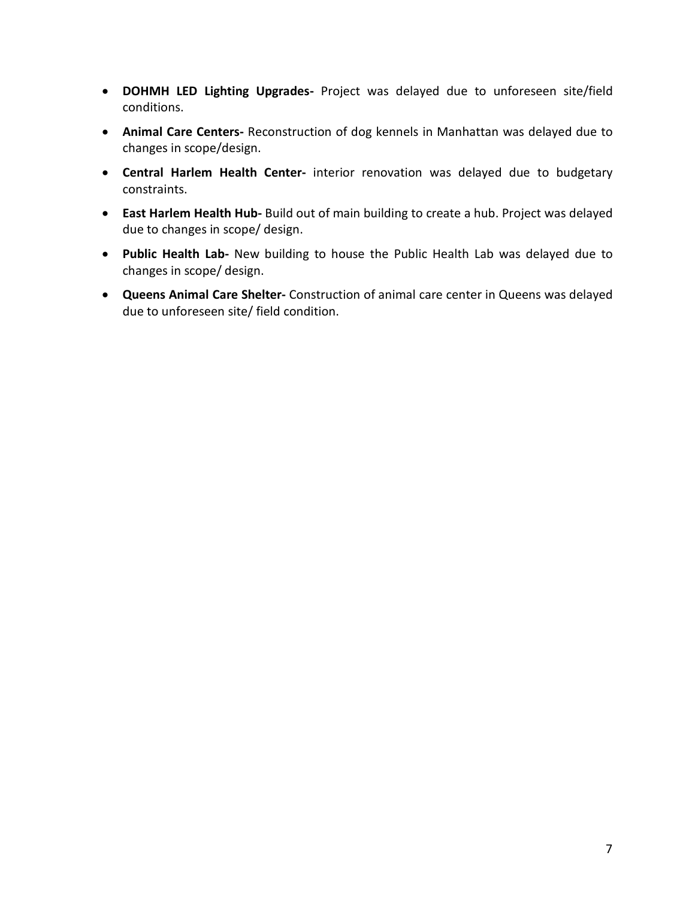- **DOHMH LED Lighting Upgrades-** Project was delayed due to unforeseen site/field conditions.
- **Animal Care Centers-** Reconstruction of dog kennels in Manhattan was delayed due to changes in scope/design.
- **Central Harlem Health Center-** interior renovation was delayed due to budgetary constraints.
- **East Harlem Health Hub-** Build out of main building to create a hub. Project was delayed due to changes in scope/ design.
- **Public Health Lab-** New building to house the Public Health Lab was delayed due to changes in scope/ design.
- **Queens Animal Care Shelter-** Construction of animal care center in Queens was delayed due to unforeseen site/ field condition.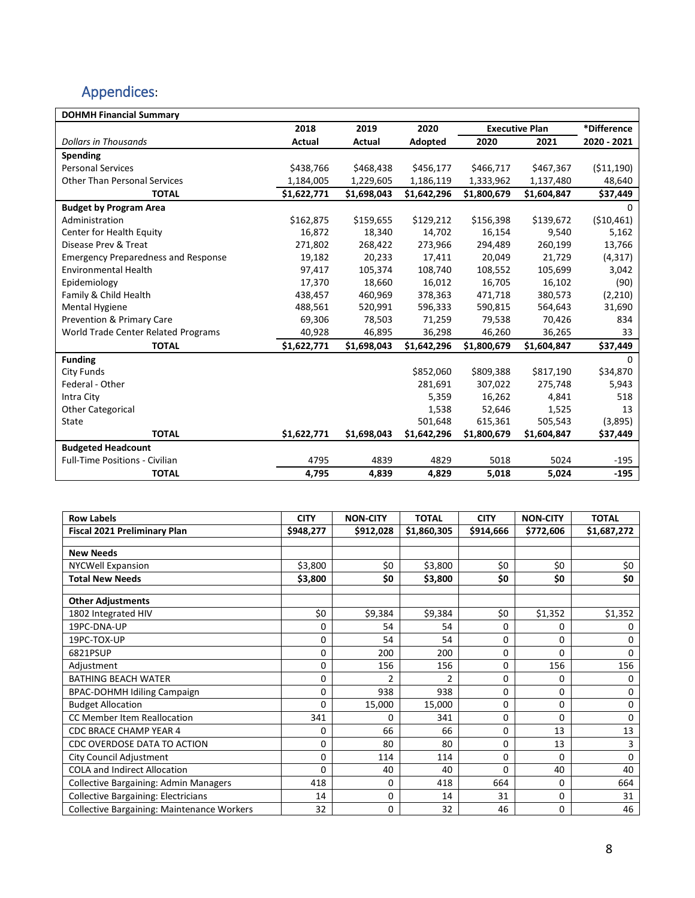# Appendices:

| <b>DOHMH Financial Summary</b>             |               |               |             |                       |             |             |
|--------------------------------------------|---------------|---------------|-------------|-----------------------|-------------|-------------|
|                                            | 2018          | 2019          | 2020        | <b>Executive Plan</b> |             | *Difference |
| <b>Dollars in Thousands</b>                | <b>Actual</b> | <b>Actual</b> | Adopted     | 2020                  | 2021        | 2020 - 2021 |
| <b>Spending</b>                            |               |               |             |                       |             |             |
| <b>Personal Services</b>                   | \$438,766     | \$468,438     | \$456,177   | \$466,717             | \$467,367   | ( \$11,190) |
| Other Than Personal Services               | 1,184,005     | 1,229,605     | 1,186,119   | 1,333,962             | 1,137,480   | 48,640      |
| <b>TOTAL</b>                               | \$1,622,771   | \$1,698,043   | \$1,642,296 | \$1,800,679           | \$1,604,847 | \$37,449    |
| <b>Budget by Program Area</b>              |               |               |             |                       |             | 0           |
| Administration                             | \$162,875     | \$159,655     | \$129,212   | \$156,398             | \$139,672   | ( \$10,461) |
| Center for Health Equity                   | 16,872        | 18,340        | 14,702      | 16,154                | 9,540       | 5,162       |
| Disease Prev & Treat                       | 271,802       | 268,422       | 273,966     | 294,489               | 260,199     | 13,766      |
| <b>Emergency Preparedness and Response</b> | 19,182        | 20,233        | 17,411      | 20,049                | 21,729      | (4, 317)    |
| <b>Environmental Health</b>                | 97,417        | 105,374       | 108,740     | 108,552               | 105,699     | 3,042       |
| Epidemiology                               | 17,370        | 18,660        | 16,012      | 16,705                | 16,102      | (90)        |
| Family & Child Health                      | 438,457       | 460,969       | 378,363     | 471,718               | 380,573     | (2, 210)    |
| Mental Hygiene                             | 488,561       | 520,991       | 596,333     | 590,815               | 564,643     | 31,690      |
| Prevention & Primary Care                  | 69,306        | 78,503        | 71,259      | 79,538                | 70,426      | 834         |
| World Trade Center Related Programs        | 40,928        | 46,895        | 36,298      | 46,260                | 36,265      | 33          |
| <b>TOTAL</b>                               | \$1,622,771   | \$1,698,043   | \$1,642,296 | \$1,800,679           | \$1,604,847 | \$37,449    |
| <b>Funding</b>                             |               |               |             |                       |             | $\Omega$    |
| City Funds                                 |               |               | \$852,060   | \$809,388             | \$817,190   | \$34,870    |
| Federal - Other                            |               |               | 281,691     | 307,022               | 275,748     | 5,943       |
| Intra City                                 |               |               | 5,359       | 16,262                | 4,841       | 518         |
| <b>Other Categorical</b>                   |               |               | 1,538       | 52,646                | 1,525       | 13          |
| State                                      |               |               | 501,648     | 615,361               | 505,543     | (3,895)     |
| <b>TOTAL</b>                               | \$1,622,771   | \$1,698,043   | \$1,642,296 | \$1,800,679           | \$1,604,847 | \$37,449    |
| <b>Budgeted Headcount</b>                  |               |               |             |                       |             |             |
| <b>Full-Time Positions - Civilian</b>      | 4795          | 4839          | 4829        | 5018                  | 5024        | $-195$      |
| <b>TOTAL</b>                               | 4,795         | 4,839         | 4,829       | 5,018                 | 5,024       | $-195$      |

| <b>Row Labels</b>                            | <b>CITY</b> | <b>NON-CITY</b> | <b>TOTAL</b>   | <b>CITY</b> | <b>NON-CITY</b> | <b>TOTAL</b> |
|----------------------------------------------|-------------|-----------------|----------------|-------------|-----------------|--------------|
| <b>Fiscal 2021 Preliminary Plan</b>          | \$948,277   | \$912,028       | \$1,860,305    | \$914,666   | \$772,606       | \$1,687,272  |
|                                              |             |                 |                |             |                 |              |
| <b>New Needs</b>                             |             |                 |                |             |                 |              |
| <b>NYCWell Expansion</b>                     | \$3,800     | \$0             | \$3,800        | \$0         | \$0             | \$0          |
| <b>Total New Needs</b>                       | \$3,800     | \$0             | \$3,800        | \$0         | \$0             | \$0          |
| <b>Other Adjustments</b>                     |             |                 |                |             |                 |              |
| 1802 Integrated HIV                          | \$0         | \$9,384         | \$9,384        | \$0         | \$1,352         | \$1,352      |
| 19PC-DNA-UP                                  | 0           | 54              | 54             | 0           | 0               | 0            |
| 19PC-TOX-UP                                  | 0           | 54              | 54             | 0           | 0               | 0            |
| 6821PSUP                                     | 0           | 200             | 200            | 0           | $\Omega$        | $\Omega$     |
| Adjustment                                   | 0           | 156             | 156            | 0           | 156             | 156          |
| <b>BATHING BEACH WATER</b>                   | 0           | $\mathcal{P}$   | $\overline{2}$ | 0           | 0               | 0            |
| <b>BPAC-DOHMH Idiling Campaign</b>           | 0           | 938             | 938            | 0           | 0               | 0            |
| <b>Budget Allocation</b>                     | 0           | 15,000          | 15,000         | 0           | 0               | 0            |
| CC Member Item Reallocation                  | 341         | 0               | 341            | 0           | 0               | $\Omega$     |
| <b>CDC BRACE CHAMP YEAR 4</b>                | 0           | 66              | 66             | 0           | 13              | 13           |
| CDC OVERDOSE DATA TO ACTION                  | 0           | 80              | 80             | 0           | 13              | 3            |
| City Council Adjustment                      | 0           | 114             | 114            | 0           | 0               | $\Omega$     |
| <b>COLA and Indirect Allocation</b>          | 0           | 40              | 40             | 0           | 40              | 40           |
| <b>Collective Bargaining: Admin Managers</b> | 418         | 0               | 418            | 664         | 0               | 664          |
| <b>Collective Bargaining: Electricians</b>   | 14          | 0               | 14             | 31          | 0               | 31           |
| Collective Bargaining: Maintenance Workers   | 32          | 0               | 32             | 46          | 0               | 46           |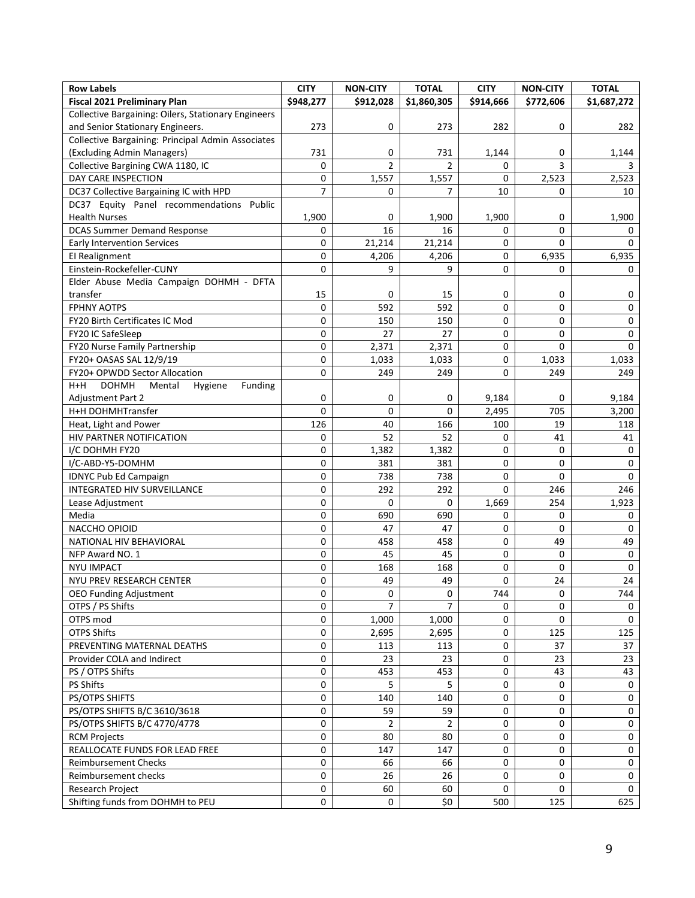| <b>Row Labels</b>                                   | <b>CITY</b>    | <b>NON-CITY</b> | <b>TOTAL</b>   | <b>CITY</b> | <b>NON-CITY</b> | <b>TOTAL</b> |
|-----------------------------------------------------|----------------|-----------------|----------------|-------------|-----------------|--------------|
| <b>Fiscal 2021 Preliminary Plan</b>                 | \$948,277      | \$912,028       | \$1,860,305    | \$914,666   | \$772,606       | \$1,687,272  |
| Collective Bargaining: Oilers, Stationary Engineers |                |                 |                |             |                 |              |
| and Senior Stationary Engineers.                    | 273            | 0               | 273            | 282         | 0               | 282          |
| Collective Bargaining: Principal Admin Associates   |                |                 |                |             |                 |              |
| (Excluding Admin Managers)                          | 731            | 0               | 731            | 1,144       | 0               | 1,144        |
| Collective Bargining CWA 1180, IC                   | 0              | $\overline{2}$  | $\overline{2}$ | 0           | 3               | 3            |
| DAY CARE INSPECTION                                 | 0              | 1,557           | 1,557          | 0           | 2,523           | 2,523        |
| DC37 Collective Bargaining IC with HPD              | $\overline{7}$ | 0               | 7              | 10          | 0               | 10           |
| DC37 Equity Panel recommendations Public            |                |                 |                |             |                 |              |
| <b>Health Nurses</b>                                | 1,900          | 0               | 1,900          | 1,900       | 0               | 1,900        |
| <b>DCAS Summer Demand Response</b>                  | 0              | 16              | 16             | 0           | 0               | 0            |
| <b>Early Intervention Services</b>                  | 0              | 21,214          | 21,214         | 0           | $\Omega$        | $\Omega$     |
| El Realignment                                      | 0              | 4,206           | 4,206          | 0           | 6,935           | 6,935        |
| Einstein-Rockefeller-CUNY                           | 0              | 9               | 9              | $\mathbf 0$ | 0               | 0            |
| Elder Abuse Media Campaign DOHMH - DFTA             |                |                 |                |             |                 |              |
| transfer                                            | 15             | 0               | 15             | 0           | 0               | 0            |
| <b>FPHNY AOTPS</b>                                  | 0              | 592             | 592            | 0           | 0               | 0            |
| FY20 Birth Certificates IC Mod                      | 0              | 150             | 150            | 0           | 0               | $\mathbf 0$  |
| FY20 IC SafeSleep                                   | 0              | 27              | 27             | 0           | 0               | 0            |
| FY20 Nurse Family Partnership                       | 0              | 2,371           | 2,371          | 0           | $\Omega$        | 0            |
| FY20+ OASAS SAL 12/9/19                             | 0              | 1,033           | 1,033          | 0           | 1,033           | 1,033        |
| FY20+ OPWDD Sector Allocation                       | 0              | 249             | 249            | $\Omega$    | 249             | 249          |
| H+H<br><b>DOHMH</b><br>Mental<br>Funding<br>Hygiene |                |                 |                |             |                 |              |
| <b>Adjustment Part 2</b>                            | 0              | 0               | 0              | 9,184       | 0               | 9,184        |
| H+H DOHMHTransfer                                   | $\Omega$       | 0               | $\Omega$       | 2,495       | 705             | 3,200        |
| Heat, Light and Power                               | 126            | 40              | 166            | 100         | 19              | 118          |
| HIV PARTNER NOTIFICATION                            | 0              | 52              | 52             | 0           | 41              | 41           |
| I/C DOHMH FY20                                      | 0              | 1,382           | 1,382          | 0           | 0               | $\mathbf 0$  |
| I/C-ABD-Y5-DOMHM                                    | 0              | 381             | 381            | 0           | 0               | 0            |
| <b>IDNYC Pub Ed Campaign</b>                        | 0              | 738             | 738            | 0           | 0               | 0            |
| INTEGRATED HIV SURVEILLANCE                         | 0              | 292             | 292            | $\Omega$    | 246             | 246          |
| Lease Adjustment                                    | 0              | 0               | 0              | 1,669       | 254             | 1,923        |
| Media                                               | 0              | 690             | 690            | 0           | 0               | 0            |
| NACCHO OPIOID                                       | 0              | 47              | 47             | 0           | 0               | 0            |
| NATIONAL HIV BEHAVIORAL                             | 0              | 458             | 458            | 0           | 49              | 49           |
| NFP Award NO. 1                                     | 0              | 45              | 45             | 0           | 0               | 0            |
| <b>NYU IMPACT</b>                                   | 0              | 168             | 168            | 0           | 0               | 0            |
| NYU PREV RESEARCH CENTER                            | 0              | 49              | 49             | 0           | 24              | 24           |
| <b>OEO Funding Adjustment</b>                       | 0              | 0               | 0              | 744         | 0               | 744          |
| OTPS / PS Shifts                                    | 0              | $\overline{7}$  | $\overline{7}$ | 0           | 0               | 0            |
| OTPS mod                                            | 0              | 1,000           | 1,000          | 0           | 0               | 0            |
| OTPS Shifts                                         | 0              | 2,695           | 2,695          | 0           | 125             | 125          |
| PREVENTING MATERNAL DEATHS                          | 0              | 113             | 113            | $\mathbf 0$ | 37              | 37           |
| Provider COLA and Indirect                          | 0              | 23              | 23             | 0           | 23              | 23           |
| PS / OTPS Shifts                                    | 0              | 453             | 453            | 0           | 43              | 43           |
| PS Shifts                                           | 0              | 5               | 5              | 0           | 0               | $\mathbf 0$  |
| PS/OTPS SHIFTS                                      | 0              |                 |                | 0           | 0               | 0            |
| PS/OTPS SHIFTS B/C 3610/3618                        | 0              | 140<br>59       | 140<br>59      | 0           | 0               | $\mathbf 0$  |
|                                                     |                |                 | $\overline{2}$ |             |                 |              |
| PS/OTPS SHIFTS B/C 4770/4778                        | 0              | $\overline{2}$  |                | 0           | 0               | 0            |
| <b>RCM Projects</b>                                 | 0              | 80              | 80             | 0           | 0               | 0            |
| REALLOCATE FUNDS FOR LEAD FREE                      | 0              | 147             | 147            | 0           | 0               | $\mathbf 0$  |
| Reimbursement Checks                                | 0              | 66              | 66             | 0           | 0               | $\mathbf 0$  |
| Reimbursement checks                                | 0              | 26              | 26             | 0           | 0               | $\mathbf 0$  |
| Research Project                                    | 0              | 60              | 60             | $\Omega$    | $\Omega$        | $\mathbf 0$  |
| Shifting funds from DOHMH to PEU                    | $\mathbf 0$    | 0               | \$0            | 500         | 125             | 625          |